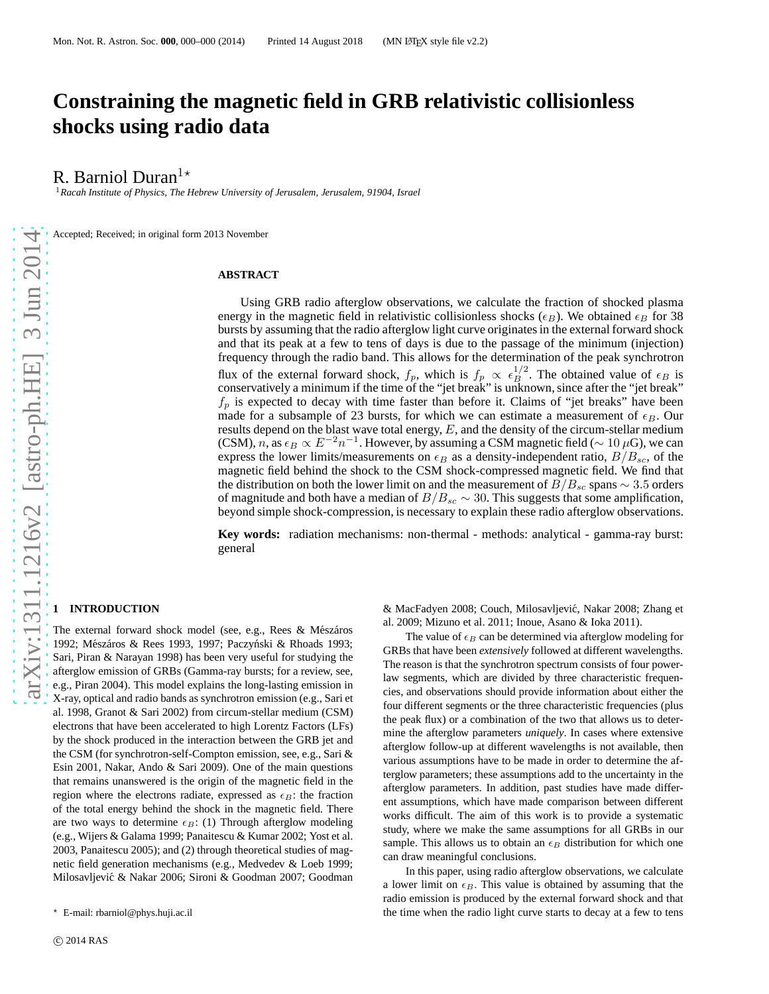# **Constraining the magnetic field in GRB relativistic collisionless shocks using radio data**

R. Barniol Duran<sup>1</sup><sup>\*</sup>

<sup>1</sup>*Racah Institute of Physics, The Hebrew University of Jerusalem, Jerusalem, 91904, Israel*

Accepted; Received; in original form 2013 November

## **ABSTRACT**

Using GRB radio afterglow observations, we calculate the fraction of shocked plasma energy in the magnetic field in relativistic collisionless shocks ( $\epsilon_B$ ). We obtained  $\epsilon_B$  for 38 bursts by assuming that the radio afterglow light curve originates in the external forward shock and that its peak at a few to tens of days is due to the passage of the minimum (injection) frequency through the radio band. This allows for the determination of the peak synchrotron flux of the external forward shock,  $f_p$ , which is  $f_p \propto \epsilon_B^{1/2}$ . The obtained value of  $\epsilon_B$  is conservatively a minimum if the time of the "jet break" is unknown, since after the "jet break"  $f_p$  is expected to decay with time faster than before it. Claims of "jet breaks" have been made for a subsample of 23 bursts, for which we can estimate a measurement of  $\epsilon_B$ . Our results depend on the blast wave total energy,  $E$ , and the density of the circum-stellar medium (CSM), n, as  $\epsilon_B \propto E^{-2}n^{-1}$ . However, by assuming a CSM magnetic field ( $\sim 10 \mu$ G), we can express the lower limits/measurements on  $\epsilon_B$  as a density-independent ratio,  $B/B_{sc}$ , of the magnetic field behind the shock to the CSM shock-compressed magnetic field. We find that the distribution on both the lower limit on and the measurement of  $B/B_{sc}$  spans  $\sim$  3.5 orders of magnitude and both have a median of  $B/B_{sc} \sim 30$ . This suggests that some amplification, beyond simple shock-compression, is necessary to explain these radio afterglow observations.

**Key words:** radiation mechanisms: non-thermal - methods: analytical - gamma-ray burst: general

#### **1 INTRODUCTION**

The external forward shock model (see, e.g., Rees & Mészáros 1992; Mészáros & Rees 1993, 1997; Paczyński & Rhoads 1993; Sari, Piran & Narayan 1998) has been very useful for studying the afterglow emission of GRBs (Gamma-ray bursts; for a review, see, e.g., Piran 2004). This model explains the long-lasting emission in X-ray, optical and radio bands as synchrotron emission (e.g., Sari et al. 1998, Granot & Sari 2002) from circum-stellar medium (CSM) electrons that have been accelerated to high Lorentz Factors (LFs) by the shock produced in the interaction between the GRB jet and the CSM (for synchrotron-self-Compton emission, see, e.g., Sari & Esin 2001, Nakar, Ando & Sari 2009). One of the main questions that remains unanswered is the origin of the magnetic field in the region where the electrons radiate, expressed as  $\epsilon_B$ : the fraction of the total energy behind the shock in the magnetic field. There are two ways to determine  $\epsilon_B$ : (1) Through afterglow modeling (e.g., Wijers & Galama 1999; Panaitescu & Kumar 2002; Yost et al. 2003, Panaitescu 2005); and (2) through theoretical studies of magnetic field generation mechanisms (e.g., Medvedev & Loeb 1999; Milosavljević & Nakar 2006; Sironi & Goodman 2007; Goodman

& MacFadyen 2008; Couch, Milosavljević, Nakar 2008; Zhang et al. 2009; Mizuno et al. 2011; Inoue, Asano & Ioka 2011).

The value of  $\epsilon_B$  can be determined via afterglow modeling for GRBs that have been *extensively* followed at different wavelengths. The reason is that the synchrotron spectrum consists of four powerlaw segments, which are divided by three characteristic frequencies, and observations should provide information about either the four different segments or the three characteristic frequencies (plus the peak flux) or a combination of the two that allows us to determine the afterglow parameters *uniquely*. In cases where extensive afterglow follow-up at different wavelengths is not available, then various assumptions have to be made in order to determine the afterglow parameters; these assumptions add to the uncertainty in the afterglow parameters. In addition, past studies have made different assumptions, which have made comparison between different works difficult. The aim of this work is to provide a systematic study, where we make the same assumptions for all GRBs in our sample. This allows us to obtain an  $\epsilon_B$  distribution for which one can draw meaningful conclusions.

In this paper, using radio afterglow observations, we calculate a lower limit on  $\epsilon_B$ . This value is obtained by assuming that the radio emission is produced by the external forward shock and that the time when the radio light curve starts to decay at a few to tens

<sup>⋆</sup> E-mail: rbarniol@phys.huji.ac.il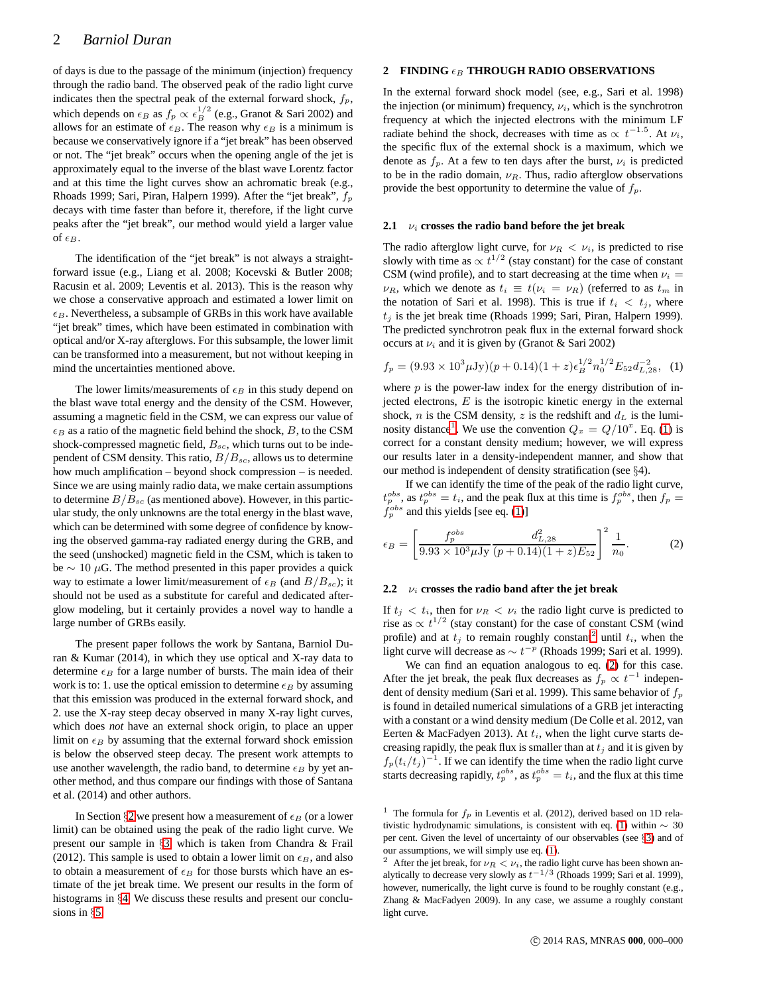of days is due to the passage of the minimum (injection) frequency through the radio band. The observed peak of the radio light curve indicates then the spectral peak of the external forward shock,  $f_p$ , which depends on  $\epsilon_B$  as  $f_p \propto \epsilon_B^{1/2}$  (e.g., Granot & Sari 2002) and allows for an estimate of  $\epsilon_B$ . The reason why  $\epsilon_B$  is a minimum is because we conservatively ignore if a "jet break" has been observed or not. The "jet break" occurs when the opening angle of the jet is approximately equal to the inverse of the blast wave Lorentz factor and at this time the light curves show an achromatic break (e.g., Rhoads 1999; Sari, Piran, Halpern 1999). After the "jet break",  $f_p$ decays with time faster than before it, therefore, if the light curve peaks after the "jet break", our method would yield a larger value of  $\epsilon_B$ .

The identification of the "jet break" is not always a straightforward issue (e.g., Liang et al. 2008; Kocevski & Butler 2008; Racusin et al. 2009; Leventis et al. 2013). This is the reason why we chose a conservative approach and estimated a lower limit on  $\epsilon_B$ . Nevertheless, a subsample of GRBs in this work have available "jet break" times, which have been estimated in combination with optical and/or X-ray afterglows. For this subsample, the lower limit can be transformed into a measurement, but not without keeping in mind the uncertainties mentioned above.

The lower limits/measurements of  $\epsilon_B$  in this study depend on the blast wave total energy and the density of the CSM. However, assuming a magnetic field in the CSM, we can express our value of  $\epsilon_B$  as a ratio of the magnetic field behind the shock, B, to the CSM shock-compressed magnetic field,  $B_{sc}$ , which turns out to be independent of CSM density. This ratio,  $B/B_{sc}$ , allows us to determine how much amplification – beyond shock compression – is needed. Since we are using mainly radio data, we make certain assumptions to determine  $B/B_{sc}$  (as mentioned above). However, in this particular study, the only unknowns are the total energy in the blast wave, which can be determined with some degree of confidence by knowing the observed gamma-ray radiated energy during the GRB, and the seed (unshocked) magnetic field in the CSM, which is taken to be  $\sim 10 \mu$ G. The method presented in this paper provides a quick way to estimate a lower limit/measurement of  $\epsilon_B$  (and  $B/B_{sc}$ ); it should not be used as a substitute for careful and dedicated afterglow modeling, but it certainly provides a novel way to handle a large number of GRBs easily.

The present paper follows the work by Santana, Barniol Duran & Kumar (2014), in which they use optical and X-ray data to determine  $\epsilon_B$  for a large number of bursts. The main idea of their work is to: 1. use the optical emission to determine  $\epsilon_B$  by assuming that this emission was produced in the external forward shock, and 2. use the X-ray steep decay observed in many X-ray light curves, which does *not* have an external shock origin, to place an upper limit on  $\epsilon_B$  by assuming that the external forward shock emission is below the observed steep decay. The present work attempts to use another wavelength, the radio band, to determine  $\epsilon_B$  by yet another method, and thus compare our findings with those of Santana et al. (2014) and other authors.

In Section §[2](#page-1-0) we present how a measurement of  $\epsilon_B$  (or a lower limit) can be obtained using the peak of the radio light curve. We present our sample in §[3,](#page-2-0) which is taken from Chandra & Frail (2012). This sample is used to obtain a lower limit on  $\epsilon_B$ , and also to obtain a measurement of  $\epsilon_B$  for those bursts which have an estimate of the jet break time. We present our results in the form of histograms in §[4.](#page-2-1) We discuss these results and present our conclusions in §[5.](#page-4-0)

## <span id="page-1-0"></span>**2 FINDING**  $\epsilon_B$  **THROUGH RADIO OBSERVATIONS**

In the external forward shock model (see, e.g., Sari et al. 1998) the injection (or minimum) frequency,  $\nu_i$ , which is the synchrotron frequency at which the injected electrons with the minimum LF radiate behind the shock, decreases with time as  $\propto t^{-1.5}$ . At  $\nu_i$ , the specific flux of the external shock is a maximum, which we denote as  $f_p$ . At a few to ten days after the burst,  $\nu_i$  is predicted to be in the radio domain,  $\nu_R$ . Thus, radio afterglow observations provide the best opportunity to determine the value of  $f_p$ .

## <span id="page-1-5"></span>**2.1**  $v_i$  **crosses the radio band before the jet break**

The radio afterglow light curve, for  $\nu_R < \nu_i$ , is predicted to rise slowly with time as  $\propto t^{1/2}$  (stay constant) for the case of constant CSM (wind profile), and to start decreasing at the time when  $\nu_i =$  $\nu_R$ , which we denote as  $t_i \equiv t(\nu_i = \nu_R)$  (referred to as  $t_m$  in the notation of Sari et al. 1998). This is true if  $t_i < t_j$ , where  $t_j$  is the jet break time (Rhoads 1999; Sari, Piran, Halpern 1999). The predicted synchrotron peak flux in the external forward shock occurs at  $\nu_i$  and it is given by (Granot & Sari 2002)

<span id="page-1-2"></span>
$$
f_p = (9.93 \times 10^3 \mu \text{Jy})(p+0.14)(1+z)\epsilon_B^{1/2} n_0^{1/2} E_{52} d_{L,28}^{-2}, \quad (1)
$$

where  $p$  is the power-law index for the energy distribution of injected electrons,  $E$  is the isotropic kinetic energy in the external shock, *n* is the CSM density, *z* is the redshift and  $d<sub>L</sub>$  is the lumi-nosity distance<sup>[1](#page-1-1)</sup>. We use the convention  $Q_x = Q/10^x$ . Eq. [\(1\)](#page-1-2) is correct for a constant density medium; however, we will express our results later in a density-independent manner, and show that our method is independent of density stratification (see §4).

If we can identify the time of the peak of the radio light curve,  $t_p^{obs}$ , as  $t_p^{obs} = t_i$ , and the peak flux at this time is  $f_p^{obs}$ , then  $f_p = t_j$  $f_p^{obs}$  and this yields [see eq. [\(1\)](#page-1-2)]

<span id="page-1-4"></span>
$$
\epsilon_B = \left[ \frac{f_p^{obs}}{9.93 \times 10^3 \mu \text{Jy}} \frac{d_{L,28}^2}{(p + 0.14)(1 + z)E_{52}} \right]^2 \frac{1}{n_0}.
$$
 (2)

#### **2.2**  $\nu_i$  **crosses the radio band after the jet break**

If  $t_i < t_i$ , then for  $\nu_R < \nu_i$  the radio light curve is predicted to rise as  $\propto t^{1/2}$  (stay constant) for the case of constant CSM (wind profile) and at  $t_j$  to remain roughly constant<sup>[2](#page-1-3)</sup> until  $t_i$ , when the light curve will decrease as  $\sim t^{-p}$  (Rhoads 1999; Sari et al. 1999).

We can find an equation analogous to eq. [\(2\)](#page-1-4) for this case. After the jet break, the peak flux decreases as  $f_p \propto t^{-1}$  independent of density medium (Sari et al. 1999). This same behavior of  $f_p$ is found in detailed numerical simulations of a GRB jet interacting with a constant or a wind density medium (De Colle et al. 2012, van Eerten & MacFadyen 2013). At  $t_i$ , when the light curve starts decreasing rapidly, the peak flux is smaller than at  $t_i$  and it is given by  $f_p(t_i/t_j)^{-1}$ . If we can identify the time when the radio light curve starts decreasing rapidly,  $t_p^{obs}$ , as  $t_p^{obs} = t_i$ , and the flux at this time

<span id="page-1-1"></span><sup>&</sup>lt;sup>1</sup> The formula for  $f_p$  in Leventis et al. (2012), derived based on 1D rela-tivistic hydrodynamic simulations, is consistent with eq. [\(1\)](#page-1-2) within  $∼ 30$ per cent. Given the level of uncertainty of our observables (see §[3\)](#page-2-0) and of our assumptions, we will simply use eq. [\(1\)](#page-1-2).

<span id="page-1-3"></span>After the jet break, for  $\nu_R < \nu_i$ , the radio light curve has been shown analytically to decrease very slowly as  $t^{-1/3}$  (Rhoads 1999; Sari et al. 1999), however, numerically, the light curve is found to be roughly constant (e.g., Zhang & MacFadyen 2009). In any case, we assume a roughly constant light curve.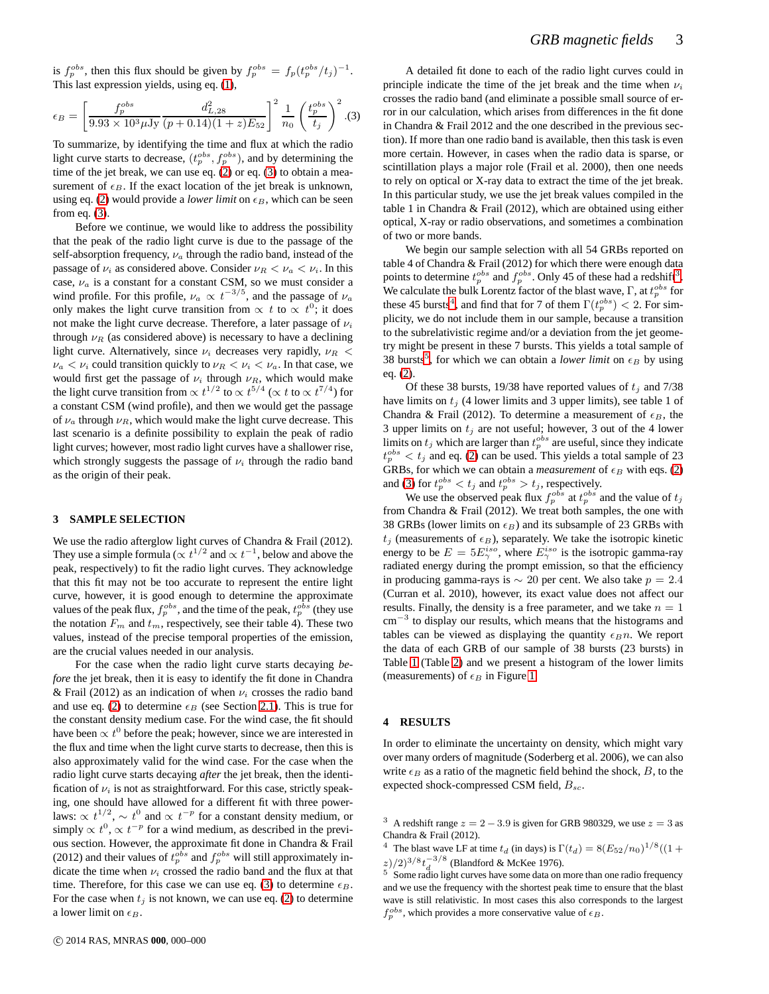is  $f_p^{obs}$ , then this flux should be given by  $f_p^{obs} = f_p(t_p^{obs}/t_j)^{-1}$ . This last expression yields, using eq. [\(1\)](#page-1-2),

<span id="page-2-2"></span>
$$
\epsilon_B = \left[\frac{f_p^{obs}}{9.93 \times 10^3 \mu \text{Jy}} \frac{d_{L,28}^2}{(p+0.14)(1+z)E_{52}}\right]^2 \frac{1}{n_0} \left(\frac{t_p^{obs}}{t_j}\right)^2. (3)
$$

To summarize, by identifying the time and flux at which the radio light curve starts to decrease,  $(t_p^{obs}, f_p^{obs})$ , and by determining the time of the jet break, we can use eq. [\(2\)](#page-1-4) or eq. [\(3\)](#page-2-2) to obtain a measurement of  $\epsilon_B$ . If the exact location of the jet break is unknown, using eq. [\(2\)](#page-1-4) would provide a *lower limit* on  $\epsilon_B$ , which can be seen from eq.  $(3)$ .

Before we continue, we would like to address the possibility that the peak of the radio light curve is due to the passage of the self-absorption frequency,  $\nu_a$  through the radio band, instead of the passage of  $\nu_i$  as considered above. Consider  $\nu_R < \nu_a < \nu_i$ . In this case,  $\nu_a$  is a constant for a constant CSM, so we must consider a wind profile. For this profile,  $\nu_a \propto t^{-3/5}$ , and the passage of  $\nu_a$ only makes the light curve transition from  $\propto t$  to  $\propto t^{0}$ ; it does not make the light curve decrease. Therefore, a later passage of  $\nu_i$ through  $\nu_R$  (as considered above) is necessary to have a declining light curve. Alternatively, since  $\nu_i$  decreases very rapidly,  $\nu_R$  <  $\nu_a < \nu_i$  could transition quickly to  $\nu_R < \nu_i < \nu_a$ . In that case, we would first get the passage of  $\nu_i$  through  $\nu_R$ , which would make the light curve transition from  $\propto t^{1/2}$  to  $\propto t^{5/4}$  ( $\propto t$  to  $\propto t^{7/4}$ ) for a constant CSM (wind profile), and then we would get the passage of  $\nu_a$  through  $\nu_R$ , which would make the light curve decrease. This last scenario is a definite possibility to explain the peak of radio light curves; however, most radio light curves have a shallower rise, which strongly suggests the passage of  $\nu_i$  through the radio band as the origin of their peak.

#### <span id="page-2-0"></span>**3 SAMPLE SELECTION**

We use the radio afterglow light curves of Chandra & Frail (2012). They use a simple formula ( $\propto t^{1/2}$  and  $\propto t^{-1}$ , below and above the peak, respectively) to fit the radio light curves. They acknowledge that this fit may not be too accurate to represent the entire light curve, however, it is good enough to determine the approximate values of the peak flux,  $f_p^{obs}$ , and the time of the peak,  $t_p^{obs}$  (they use the notation  $F_m$  and  $t_m$ , respectively, see their table 4). These two values, instead of the precise temporal properties of the emission, are the crucial values needed in our analysis.

For the case when the radio light curve starts decaying *before* the jet break, then it is easy to identify the fit done in Chandra & Frail (2012) as an indication of when  $\nu_i$  crosses the radio band and use eq. [\(2\)](#page-1-4) to determine  $\epsilon_B$  (see Section [2.1\)](#page-1-5). This is true for the constant density medium case. For the wind case, the fit should have been  $\propto t^0$  before the peak; however, since we are interested in the flux and time when the light curve starts to decrease, then this is also approximately valid for the wind case. For the case when the radio light curve starts decaying *after* the jet break, then the identification of  $\nu_i$  is not as straightforward. For this case, strictly speaking, one should have allowed for a different fit with three powerlaws:  $\propto t^{1/2}$ ,  $\sim t^0$  and  $\propto t^{-p}$  for a constant density medium, or simply  $\propto t^0$ ,  $\propto t^{-p}$  for a wind medium, as described in the previous section. However, the approximate fit done in Chandra & Frail (2012) and their values of  $t_p^{obs}$  and  $f_p^{obs}$  will still approximately indicate the time when  $\nu_i$  crossed the radio band and the flux at that time. Therefore, for this case we can use eq. [\(3\)](#page-2-2) to determine  $\epsilon_B$ . For the case when  $t_j$  is not known, we can use eq. [\(2\)](#page-1-4) to determine a lower limit on  $\epsilon_B$ .

A detailed fit done to each of the radio light curves could in principle indicate the time of the jet break and the time when  $\nu_i$ crosses the radio band (and eliminate a possible small source of error in our calculation, which arises from differences in the fit done in Chandra & Frail 2012 and the one described in the previous section). If more than one radio band is available, then this task is even more certain. However, in cases when the radio data is sparse, or scintillation plays a major role (Frail et al. 2000), then one needs to rely on optical or X-ray data to extract the time of the jet break. In this particular study, we use the jet break values compiled in the table 1 in Chandra & Frail (2012), which are obtained using either optical, X-ray or radio observations, and sometimes a combination of two or more bands.

We begin our sample selection with all 54 GRBs reported on table 4 of Chandra & Frail (2012) for which there were enough data points to determine  $t_p^{obs}$  and  $f_p^{obs}$ . Only 45 of these had a redshift<sup>[3](#page-2-3)</sup>. We calculate the bulk Lorentz factor of the blast wave,  $\Gamma$ , at  $t_p^{obs}$  for these [4](#page-2-4)5 bursts<sup>4</sup>, and find that for 7 of them  $\Gamma(t_p^{obs}) < 2$ . For simplicity, we do not include them in our sample, because a transition to the subrelativistic regime and/or a deviation from the jet geometry might be present in these 7 bursts. This yields a total sample of 38 bursts<sup>[5](#page-2-5)</sup>, for which we can obtain a *lower limit* on  $\epsilon_B$  by using eq. [\(2\)](#page-1-4).

Of these 38 bursts, 19/38 have reported values of  $t_i$  and 7/38 have limits on  $t_i$  (4 lower limits and 3 upper limits), see table 1 of Chandra & Frail (2012). To determine a measurement of  $\epsilon_B$ , the 3 upper limits on  $t_j$  are not useful; however, 3 out of the 4 lower limits on  $t_j$  which are larger than  $t_p^{obs}$  are useful, since they indicate  $t_p^{obs} < t_j$  and eq. [\(2\)](#page-1-4) can be used. This yields a total sample of 23 GRBs, for which we can obtain a *measurement* of  $\epsilon_B$  with eqs. [\(2\)](#page-1-4) and [\(3\)](#page-2-2) for  $t_p^{obs} < t_j$  and  $t_p^{obs} > t_j$ , respectively.

We use the observed peak flux  $f_p^{obs}$  at  $t_p^{obs}$  and the value of  $t_j$ from Chandra & Frail (2012). We treat both samples, the one with 38 GRBs (lower limits on  $\epsilon_B$ ) and its subsample of 23 GRBs with  $t_j$  (measurements of  $\epsilon_B$ ), separately. We take the isotropic kinetic energy to be  $E = 5E^{iso}_{\gamma}$ , where  $E^{iso}_{\gamma}$  is the isotropic gamma-ray radiated energy during the prompt emission, so that the efficiency in producing gamma-rays is  $\sim 20$  per cent. We also take  $p = 2.4$ (Curran et al. 2010), however, its exact value does not affect our results. Finally, the density is a free parameter, and we take  $n = 1$ cm<sup>−</sup><sup>3</sup> to display our results, which means that the histograms and tables can be viewed as displaying the quantity  $\epsilon_B n$ . We report the data of each GRB of our sample of 38 bursts (23 bursts) in Table [1](#page-3-0) (Table [2\)](#page-4-1) and we present a histogram of the lower limits (measurements) of  $\epsilon_B$  in Figure [1.](#page-5-0)

### <span id="page-2-1"></span>**4 RESULTS**

In order to eliminate the uncertainty on density, which might vary over many orders of magnitude (Soderberg et al. 2006), we can also write  $\epsilon_B$  as a ratio of the magnetic field behind the shock, B, to the expected shock-compressed CSM field,  $B_{sc}$ .

<span id="page-2-3"></span><sup>3</sup> A redshift range  $z = 2 - 3.9$  is given for GRB 980329, we use  $z = 3$  as Chandra & Frail (2012).

<span id="page-2-4"></span><sup>4</sup> The blast wave LF at time  $t_d$  (in days) is  $\Gamma(t_d) = 8(E_{52}/n_0)^{1/8}((1 +$  $(z)^{2/3/8} t_d^{-3/8}$  (Blandford & McKee 1976).

<span id="page-2-5"></span><sup>5</sup> Some radio light curves have some data on more than one radio frequency and we use the frequency with the shortest peak time to ensure that the blast wave is still relativistic. In most cases this also corresponds to the largest  $f_p^{obs}$ , which provides a more conservative value of  $\epsilon_B$ .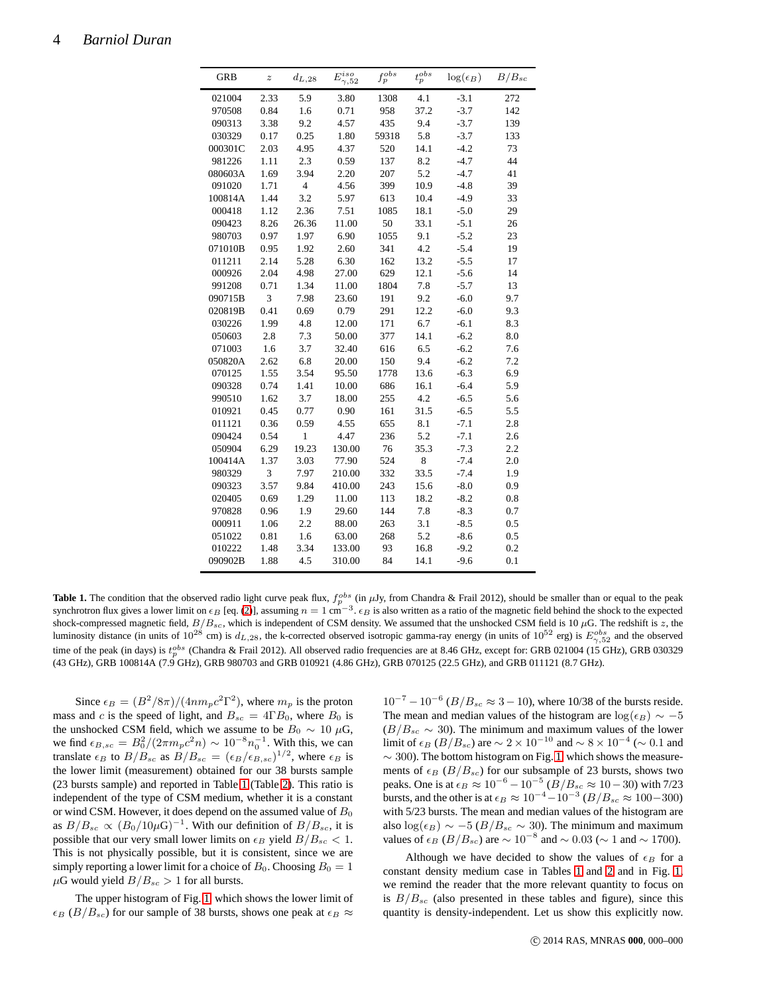| <b>GRB</b> | $\boldsymbol{z}$ | $d_{L,28}$     | $E^{iso}_{\gamma,52}$ | $f_p^{obs}$ | $t_p^{obs}$ | $\log(\epsilon_B)$ | $B/B_{sc}$ |
|------------|------------------|----------------|-----------------------|-------------|-------------|--------------------|------------|
| 021004     | 2.33             | 5.9            | 3.80                  | 1308        | 4.1         | $-3.1$             | 272        |
| 970508     | 0.84             | 1.6            | 0.71                  | 958         | 37.2        | $-3.7$             | 142        |
| 090313     | 3.38             | 9.2            | 4.57                  | 435         | 9.4         | $-3.7$             | 139        |
| 030329     | 0.17             | 0.25           | 1.80                  | 59318       | 5.8         | $-3.7$             | 133        |
| 000301C    | 2.03             | 4.95           | 4.37                  | 520         | 14.1        | $-4.2$             | 73         |
| 981226     | 1.11             | 2.3            | 0.59                  | 137         | 8.2         | $-4.7$             | 44         |
| 080603A    | 1.69             | 3.94           | 2.20                  | 207         | 5.2         | $-4.7$             | 41         |
| 091020     | 1.71             | $\overline{4}$ | 4.56                  | 399         | 10.9        | $-4.8$             | 39         |
| 100814A    | 1.44             | 3.2            | 5.97                  | 613         | 10.4        | $-4.9$             | 33         |
| 000418     | 1.12             | 2.36           | 7.51                  | 1085        | 18.1        | $-5.0$             | 29         |
| 090423     | 8.26             | 26.36          | 11.00                 | 50          | 33.1        | $-5.1$             | 26         |
| 980703     | 0.97             | 1.97           | 6.90                  | 1055        | 9.1         | $-5.2$             | 23         |
| 071010B    | 0.95             | 1.92           | 2.60                  | 341         | 4.2         | $-5.4$             | 19         |
| 011211     | 2.14             | 5.28           | 6.30                  | 162         | 13.2        | $-5.5$             | 17         |
| 000926     | 2.04             | 4.98           | 27.00                 | 629         | 12.1        | $-5.6$             | 14         |
| 991208     | 0.71             | 1.34           | 11.00                 | 1804        | 7.8         | $-5.7$             | 13         |
| 090715B    | 3                | 7.98           | 23.60                 | 191         | 9.2         | $-6.0$             | 9.7        |
| 020819B    | 0.41             | 0.69           | 0.79                  | 291         | 12.2        | $-6.0$             | 9.3        |
| 030226     | 1.99             | 4.8            | 12.00                 | 171         | 6.7         | $-6.1$             | 8.3        |
| 050603     | 2.8              | 7.3            | 50.00                 | 377         | 14.1        | $-6.2$             | 8.0        |
| 071003     | 1.6              | 3.7            | 32.40                 | 616         | 6.5         | $-6.2$             | 7.6        |
| 050820A    | 2.62             | 6.8            | 20.00                 | 150         | 9.4         | $-6.2$             | 7.2        |
| 070125     | 1.55             | 3.54           | 95.50                 | 1778        | 13.6        | $-6.3$             | 6.9        |
| 090328     | 0.74             | 1.41           | 10.00                 | 686         | 16.1        | $-6.4$             | 5.9        |
| 990510     | 1.62             | 3.7            | 18.00                 | 255         | 4.2         | $-6.5$             | 5.6        |
| 010921     | 0.45             | 0.77           | 0.90                  | 161         | 31.5        | $-6.5$             | 5.5        |
| 011121     | 0.36             | 0.59           | 4.55                  | 655         | 8.1         | $-7.1$             | 2.8        |
| 090424     | 0.54             | $\mathbf{1}$   | 4.47                  | 236         | 5.2         | $-7.1$             | 2.6        |
| 050904     | 6.29             | 19.23          | 130.00                | 76          | 35.3        | $-7.3$             | 2.2        |
| 100414A    | 1.37             | 3.03           | 77.90                 | 524         | 8           | $-7.4$             | 2.0        |
| 980329     | 3                | 7.97           | 210.00                | 332         | 33.5        | $-7.4$             | 1.9        |
| 090323     | 3.57             | 9.84           | 410.00                | 243         | 15.6        | $-8.0$             | 0.9        |
| 020405     | 0.69             | 1.29           | 11.00                 | 113         | 18.2        | $-8.2$             | 0.8        |
| 970828     | 0.96             | 1.9            | 29.60                 | 144         | 7.8         | $-8.3$             | 0.7        |
| 000911     | 1.06             | 2.2            | 88.00                 | 263         | 3.1         | $-8.5$             | 0.5        |
| 051022     | 0.81             | 1.6            | 63.00                 | 268         | 5.2         | $-8.6$             | 0.5        |
| 010222     | 1.48             | 3.34           | 133.00                | 93          | 16.8        | $-9.2$             | 0.2        |
| 090902B    | 1.88             | 4.5            | 310.00                | 84          | 14.1        | $-9.6$             | 0.1        |

<span id="page-3-0"></span>**Table 1.** The condition that the observed radio light curve peak flux,  $f_p^{obs}$  (in  $\mu$ Jy, from Chandra & Frail 2012), should be smaller than or equal to the peak synchrotron flux gives a lower limit on  $\epsilon_B$  [eq. [\(2\)](#page-1-4)], shock-compressed magnetic field,  $B/B_{sc}$ , which is independent of CSM density. We assumed that the unshocked CSM field is 10  $\mu$ G. The redshift is z, the luminosity distance (in units of  $10^{28}$  cm) is  $d_{L,28}$ , the k-corrected observed isotropic gamma-ray energy (in units of  $10^{52}$  erg) is  $E_{\gamma,52}^{obs}$  and the observed time of the peak (in days) is  $t_p^{obs}$  (Chandra & Frail 2012). All observed radio frequencies are at 8.46 GHz, except for: GRB 021004 (15 GHz), GRB 030329 (43 GHz), GRB 100814A (7.9 GHz), GRB 980703 and GRB 010921 (4.86 GHz), GRB 070125 (22.5 GHz), and GRB 011121 (8.7 GHz).

Since  $\epsilon_B = (B^2/8\pi)/(4nm_pc^2\Gamma^2)$ , where  $m_p$  is the proton mass and c is the speed of light, and  $B_{sc} = 4\Gamma B_0$ , where  $B_0$  is the unshocked CSM field, which we assume to be  $B_0 \sim 10 \mu$ G, we find  $\epsilon_{B,sc} = B_0^2/(2\pi m_p c^2 n) \sim 10^{-8} n_0^{-1}$ . With this, we can translate  $\epsilon_B$  to  $B/B_{sc}$  as  $B/B_{sc} = (\epsilon_B/\epsilon_{B,sc})^{1/2}$ , where  $\epsilon_B$  is the lower limit (measurement) obtained for our 38 bursts sample (23 bursts sample) and reported in Table [1](#page-3-0) (Table [2\)](#page-4-1). This ratio is independent of the type of CSM medium, whether it is a constant or wind CSM. However, it does depend on the assumed value of  $B_0$ as  $B/B_{sc} \propto (B_0/10\mu\text{G})^{-1}$ . With our definition of  $B/B_{sc}$ , it is possible that our very small lower limits on  $\epsilon_B$  yield  $B/B_{sc} < 1$ . This is not physically possible, but it is consistent, since we are simply reporting a lower limit for a choice of  $B_0$ . Choosing  $B_0 = 1$  $\mu$ G would yield  $B/B_{sc} > 1$  for all bursts.

The upper histogram of Fig. [1,](#page-5-0) which shows the lower limit of  $\epsilon_B(B/B_{sc})$  for our sample of 38 bursts, shows one peak at  $\epsilon_B \approx$ 

 $10^{-7} - 10^{-6}$  ( $B/B_{sc} \approx 3 - 10$ ), where 10/38 of the bursts reside. The mean and median values of the histogram are  $\log(\epsilon_B) \sim -5$  $(B/B_{sc} \sim 30)$ . The minimum and maximum values of the lower limit of  $\epsilon_B$  ( $B/B_{sc}$ ) are  $\sim 2 \times 10^{-10}$  and  $\sim 8 \times 10^{-4}$  ( $\sim 0.1$  and  $\sim$  300). The bottom histogram on Fig. [1,](#page-5-0) which shows the measurements of  $\epsilon_B$  ( $B/B_{sc}$ ) for our subsample of 23 bursts, shows two peaks. One is at  $\epsilon_B \approx 10^{-6} - 10^{-5}$  ( $\dot{B}/B_{sc} \approx 10 - 30$ ) with 7/23 bursts, and the other is at  $\epsilon_B \approx 10^{-4} - 10^{-3} (B/B_{sc} \approx 100 - 300)$ with 5/23 bursts. The mean and median values of the histogram are also log( $\epsilon_B$ ) ∼ −5 ( $B/B_{sc}$  ∼ 30). The minimum and maximum values of  $\epsilon_B (B/B_{sc})$  are  $\sim 10^{-8}$  and  $\sim 0.03$  ( $\sim 1$  and  $\sim 1700$ ).

Although we have decided to show the values of  $\epsilon_B$  for a constant density medium case in Tables [1](#page-3-0) and [2](#page-4-1) and in Fig. [1,](#page-5-0) we remind the reader that the more relevant quantity to focus on is  $B/B_{sc}$  (also presented in these tables and figure), since this quantity is density-independent. Let us show this explicitly now.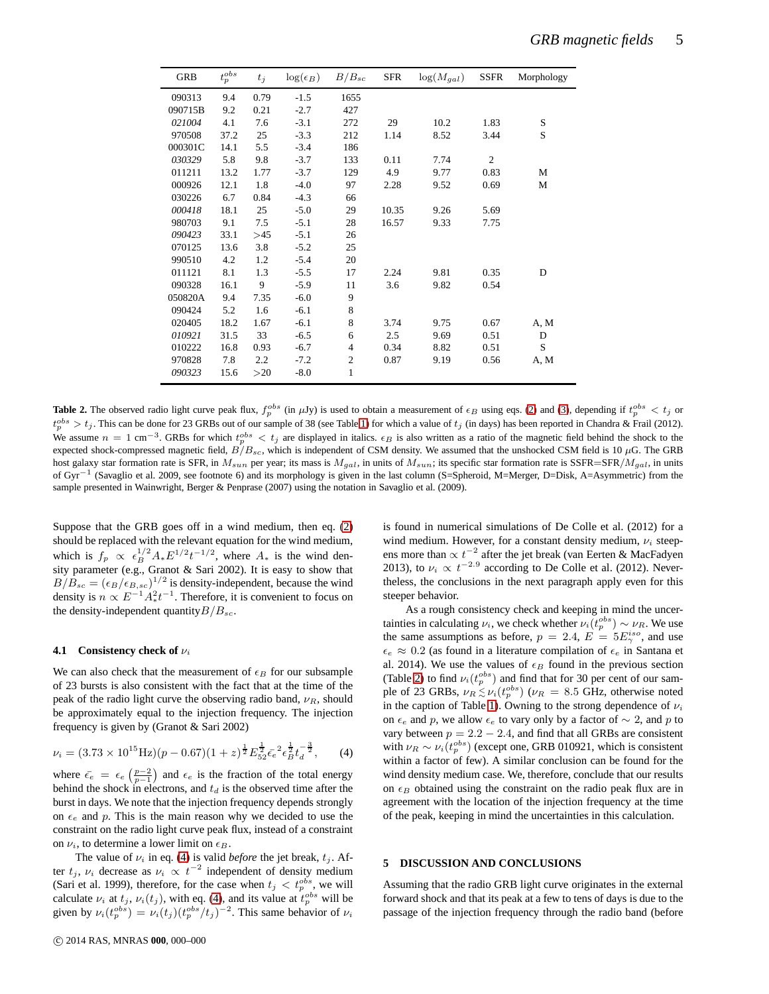| <b>GRB</b> | $t_p^{obs}$ | $t_j$ | $\log(\epsilon_B)$ | $B/B_{sc}$     | <b>SFR</b> | $\log(M_{gal})$ | <b>SSFR</b>    | Morphology |
|------------|-------------|-------|--------------------|----------------|------------|-----------------|----------------|------------|
| 090313     | 9.4         | 0.79  | $-1.5$             | 1655           |            |                 |                |            |
| 090715B    | 9.2         | 0.21  | $-2.7$             | 427            |            |                 |                |            |
| 021004     | 4.1         | 7.6   | $-3.1$             | 272            | 29         | 10.2            | 1.83           | S          |
| 970508     | 37.2        | 25    | $-3.3$             | 212            | 1.14       | 8.52            | 3.44           | S          |
| 000301C    | 14.1        | 5.5   | $-3.4$             | 186            |            |                 |                |            |
| 030329     | 5.8         | 9.8   | $-3.7$             | 133            | 0.11       | 7.74            | $\mathfrak{2}$ |            |
| 011211     | 13.2        | 1.77  | $-3.7$             | 129            | 4.9        | 9.77            | 0.83           | М          |
| 000926     | 12.1        | 1.8   | $-4.0$             | 97             | 2.28       | 9.52            | 0.69           | M          |
| 030226     | 6.7         | 0.84  | $-4.3$             | 66             |            |                 |                |            |
| 000418     | 18.1        | 25    | $-5.0$             | 29             | 10.35      | 9.26            | 5.69           |            |
| 980703     | 9.1         | 7.5   | $-5.1$             | 28             | 16.57      | 9.33            | 7.75           |            |
| 090423     | 33.1        | >45   | $-5.1$             | 26             |            |                 |                |            |
| 070125     | 13.6        | 3.8   | $-5.2$             | 25             |            |                 |                |            |
| 990510     | 4.2         | 1.2   | $-5.4$             | 20             |            |                 |                |            |
| 011121     | 8.1         | 1.3   | $-5.5$             | 17             | 2.24       | 9.81            | 0.35           | D          |
| 090328     | 16.1        | 9     | $-5.9$             | 11             | 3.6        | 9.82            | 0.54           |            |
| 050820A    | 9.4         | 7.35  | $-6.0$             | 9              |            |                 |                |            |
| 090424     | 5.2         | 1.6   | $-6.1$             | 8              |            |                 |                |            |
| 020405     | 18.2        | 1.67  | $-6.1$             | 8              | 3.74       | 9.75            | 0.67           | A, M       |
| 010921     | 31.5        | 33    | $-6.5$             | 6              | 2.5        | 9.69            | 0.51           | D          |
| 010222     | 16.8        | 0.93  | $-6.7$             | $\overline{4}$ | 0.34       | 8.82            | 0.51           | S          |
| 970828     | 7.8         | 2.2   | $-7.2$             | $\mathfrak{2}$ | 0.87       | 9.19            | 0.56           | A, M       |
| 090323     | 15.6        | >20   | $-8.0$             | 1              |            |                 |                |            |

<span id="page-4-1"></span>**Table 2.** The observed radio light curve peak flux,  $f_p^{obs}$  (in  $\mu$ Jy) is used to obtain a measurement of  $\epsilon_B$  using eqs. [\(2\)](#page-1-4) and [\(3\)](#page-2-2), depending if  $t_p^{obs} < t_j$  or  $t_p^{obs} > t_j$ . This can be done for 23 GRBs out of our sample of 38 (see Table [1\)](#page-3-0) for which a value of  $t_j$  (in days) has been reported in Chandra & Frail (2012). We assume  $n = 1$  cm<sup>-3</sup>. GRBs for which  $t_p^{obs} < t_j$  are displayed in italics.  $\epsilon_B$  is also written as a ratio of the magnetic field behind the shock to the expected shock-compressed magnetic field,  $B/B_{sc}$ , which is independent of CSM density. We assumed that the unshocked CSM field is 10  $\mu$ G. The GRB host galaxy star formation rate is SFR, in  $M_{sun}$  per year; its mass is  $M_{gal}$ , in units of  $M_{sun}$ ; its specific star formation rate is SSFR=SFR/ $M_{gal}$ , in units of Gyr<sup>−1</sup> (Savaglio et al. 2009, see footnote 6) and its morphology is given in the last column (S=Spheroid, M=Merger, D=Disk, A=Asymmetric) from the sample presented in Wainwright, Berger & Penprase (2007) using the notation in Savaglio et al. (2009).

Suppose that the GRB goes off in a wind medium, then eq. [\(2\)](#page-1-4) should be replaced with the relevant equation for the wind medium, which is  $f_p \propto \epsilon_B^{1/2} A_* E^{1/2} t^{-1/2}$ , where  $A_*$  is the wind density parameter (e.g., Granot & Sari 2002). It is easy to show that  $B/B_{sc} = (\epsilon_B/\epsilon_{B,sc})^{1/2}$  is density-independent, because the wind density is  $n \propto E^{-1} A_*^2 t^{-1}$ . Therefore, it is convenient to focus on the density-independent quantity  $B/B_{sc}$ .

#### **4.1 Consistency check of**  $ν<sub>i</sub>$

We can also check that the measurement of  $\epsilon_B$  for our subsample of 23 bursts is also consistent with the fact that at the time of the peak of the radio light curve the observing radio band,  $\nu_R$ , should be approximately equal to the injection frequency. The injection frequency is given by (Granot & Sari 2002)

<span id="page-4-2"></span>
$$
\nu_i = (3.73 \times 10^{15} \text{Hz})(p - 0.67)(1 + z)^{\frac{1}{2}} E_{52}^{\frac{1}{2}} \bar{\epsilon}_e^2 \epsilon_B^{\frac{1}{2}} t_d^{-\frac{3}{2}}, \qquad (4)
$$

where  $\bar{\epsilon}_e = \epsilon_e \left(\frac{p-2}{p-1}\right)$  and  $\epsilon_e$  is the fraction of the total energy behind the shock in electrons, and  $t_d$  is the observed time after the burst in days. We note that the injection frequency depends strongly on  $\epsilon_e$  and p. This is the main reason why we decided to use the constraint on the radio light curve peak flux, instead of a constraint on  $\nu_i$ , to determine a lower limit on  $\epsilon_B$ .

The value of  $\nu_i$  in eq. [\(4\)](#page-4-2) is valid *before* the jet break,  $t_j$ . After  $t_j$ ,  $\nu_i$  decrease as  $\nu_i \propto t^{-2}$  independent of density medium (Sari et al. 1999), therefore, for the case when  $t_j < t_p^{obs}$ , we will calculate  $\nu_i$  at  $t_j$ ,  $\nu_i(t_j)$ , with eq. [\(4\)](#page-4-2), and its value at  $t_p^{obs}$  will be given by  $\nu_i(t_p^{obs}) = \nu_i(t_j)(t_p^{obs}/t_j)^{-2}$ . This same behavior of  $\nu_i$ 

is found in numerical simulations of De Colle et al. (2012) for a wind medium. However, for a constant density medium,  $\nu_i$  steepens more than  $\propto t^{-2}$  after the jet break (van Eerten & MacFadyen 2013), to  $\nu_i \propto t^{-2.9}$  according to De Colle et al. (2012). Nevertheless, the conclusions in the next paragraph apply even for this steeper behavior.

As a rough consistency check and keeping in mind the uncertainties in calculating  $\nu_i$ , we check whether  $\nu_i(t_p^{obs}) \sim \nu_R$ . We use the same assumptions as before,  $p = 2.4$ ,  $E = 5E^{iso}_{\gamma}$ , and use  $\epsilon_e \approx 0.2$  (as found in a literature compilation of  $\epsilon_e$  in Santana et al. 2014). We use the values of  $\epsilon_B$  found in the previous section (Table [2\)](#page-4-1) to find  $\nu_i(t_p^{obs})$  and find that for 30 per cent of our sample of 23 GRBs,  $\nu_R \lesssim \nu_i (t_p^{obs})$  ( $\nu_R = 8.5$  GHz, otherwise noted in the caption of Table [1\)](#page-3-0). Owning to the strong dependence of  $\nu_i$ on  $\epsilon_e$  and p, we allow  $\epsilon_e$  to vary only by a factor of  $\sim$  2, and p to vary between  $p = 2.2 - 2.4$ , and find that all GRBs are consistent with  $\nu_R \sim \nu_i(t_p^{obs})$  (except one, GRB 010921, which is consistent within a factor of few). A similar conclusion can be found for the wind density medium case. We, therefore, conclude that our results on  $\epsilon_B$  obtained using the constraint on the radio peak flux are in agreement with the location of the injection frequency at the time of the peak, keeping in mind the uncertainties in this calculation.

## <span id="page-4-0"></span>**5 DISCUSSION AND CONCLUSIONS**

Assuming that the radio GRB light curve originates in the external forward shock and that its peak at a few to tens of days is due to the passage of the injection frequency through the radio band (before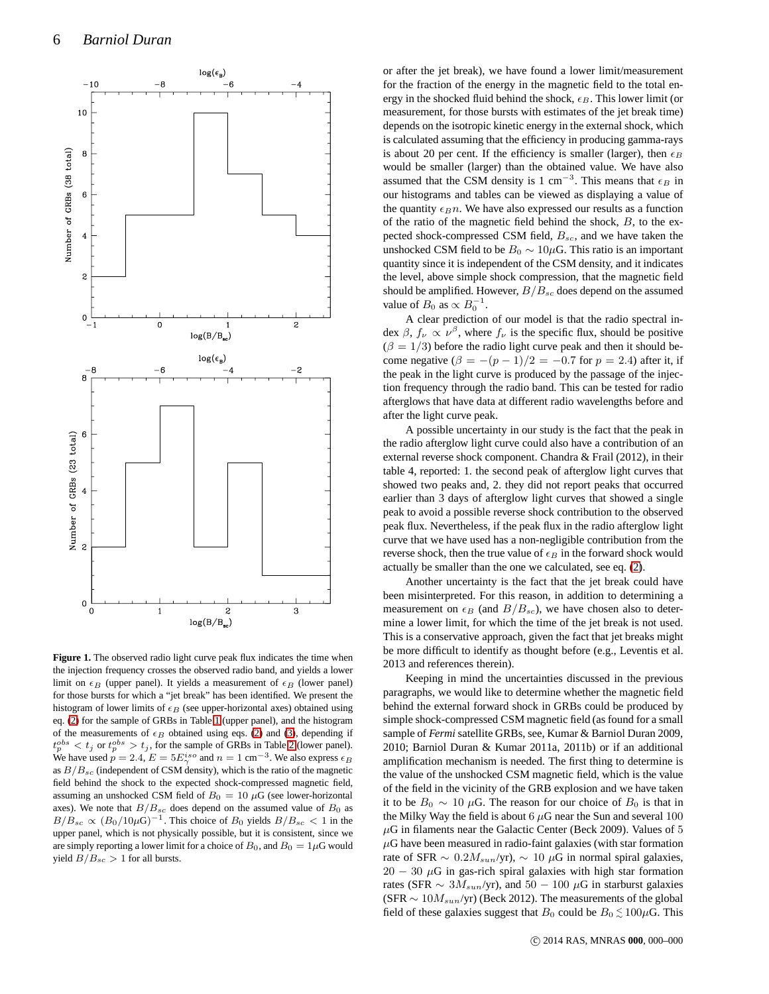

<span id="page-5-0"></span>**Figure 1.** The observed radio light curve peak flux indicates the time when the injection frequency crosses the observed radio band, and yields a lower limit on  $\epsilon_B$  (upper panel). It yields a measurement of  $\epsilon_B$  (lower panel) for those bursts for which a "jet break" has been identified. We present the histogram of lower limits of  $\epsilon_B$  (see upper-horizontal axes) obtained using eq. [\(2\)](#page-1-4) for the sample of GRBs in Table [1](#page-3-0) (upper panel), and the histogram of the measurements of  $\epsilon_B$  obtained using eqs. [\(2\)](#page-1-4) and [\(3\)](#page-2-2), depending if  $t_p^{obs} < t_j$  or  $t_p^{obs} > t_j$ , for the sample of GRBs in Table [2](#page-4-1) (lower panel). We have used  $p = 2.4$ ,  $E = 5E_{\gamma}^{iso}$  and  $n = 1$  cm<sup>-3</sup>. We also express  $\epsilon_B$ as  $B/B_{sc}$  (independent of CSM density), which is the ratio of the magnetic field behind the shock to the expected shock-compressed magnetic field, assuming an unshocked CSM field of  $B_0 = 10 \mu$ G (see lower-horizontal axes). We note that  $B/B_{sc}$  does depend on the assumed value of  $B_0$  as  $B/B_{sc} \propto (B_0/10\mu\text{G})^{-1}$ . This choice of  $B_0$  yields  $B/B_{sc} < 1$  in the upper panel, which is not physically possible, but it is consistent, since we are simply reporting a lower limit for a choice of  $B_0$ , and  $B_0 = 1 \mu$ G would yield  $B/B_{sc} > 1$  for all bursts.

or after the jet break), we have found a lower limit/measurement for the fraction of the energy in the magnetic field to the total energy in the shocked fluid behind the shock,  $\epsilon_B$ . This lower limit (or measurement, for those bursts with estimates of the jet break time) depends on the isotropic kinetic energy in the external shock, which is calculated assuming that the efficiency in producing gamma-rays is about 20 per cent. If the efficiency is smaller (larger), then  $\epsilon_B$ would be smaller (larger) than the obtained value. We have also assumed that the CSM density is 1 cm<sup>-3</sup>. This means that  $\epsilon_B$  in our histograms and tables can be viewed as displaying a value of the quantity  $\epsilon_B n$ . We have also expressed our results as a function of the ratio of the magnetic field behind the shock,  $B$ , to the expected shock-compressed CSM field,  $B_{sc}$ , and we have taken the unshocked CSM field to be  $B_0 \sim 10 \mu$ G. This ratio is an important quantity since it is independent of the CSM density, and it indicates the level, above simple shock compression, that the magnetic field should be amplified. However,  $B/B_{sc}$  does depend on the assumed value of  $B_0$  as  $\propto B_0^{-1}$ .

A clear prediction of our model is that the radio spectral index  $\beta$ ,  $f_{\nu} \propto \nu^{\beta}$ , where  $f_{\nu}$  is the specific flux, should be positive  $(\beta = 1/3)$  before the radio light curve peak and then it should become negative  $(\beta = -(p-1)/2 = -0.7$  for  $p = 2.4$ ) after it, if the peak in the light curve is produced by the passage of the injection frequency through the radio band. This can be tested for radio afterglows that have data at different radio wavelengths before and after the light curve peak.

A possible uncertainty in our study is the fact that the peak in the radio afterglow light curve could also have a contribution of an external reverse shock component. Chandra & Frail (2012), in their table 4, reported: 1. the second peak of afterglow light curves that showed two peaks and, 2. they did not report peaks that occurred earlier than 3 days of afterglow light curves that showed a single peak to avoid a possible reverse shock contribution to the observed peak flux. Nevertheless, if the peak flux in the radio afterglow light curve that we have used has a non-negligible contribution from the reverse shock, then the true value of  $\epsilon_B$  in the forward shock would actually be smaller than the one we calculated, see eq. [\(2\)](#page-1-4).

Another uncertainty is the fact that the jet break could have been misinterpreted. For this reason, in addition to determining a measurement on  $\epsilon_B$  (and  $B/B_{sc}$ ), we have chosen also to determine a lower limit, for which the time of the jet break is not used. This is a conservative approach, given the fact that jet breaks might be more difficult to identify as thought before (e.g., Leventis et al. 2013 and references therein).

Keeping in mind the uncertainties discussed in the previous paragraphs, we would like to determine whether the magnetic field behind the external forward shock in GRBs could be produced by simple shock-compressed CSM magnetic field (as found for a small sample of *Fermi* satellite GRBs, see, Kumar & Barniol Duran 2009, 2010; Barniol Duran & Kumar 2011a, 2011b) or if an additional amplification mechanism is needed. The first thing to determine is the value of the unshocked CSM magnetic field, which is the value of the field in the vicinity of the GRB explosion and we have taken it to be  $B_0 \sim 10 \mu$ G. The reason for our choice of  $B_0$  is that in the Milky Way the field is about  $6 \mu$ G near the Sun and several 100  $\mu$ G in filaments near the Galactic Center (Beck 2009). Values of 5  $\mu$ G have been measured in radio-faint galaxies (with star formation rate of SFR  $\sim 0.2 M_{sun}/yr$ ),  $\sim 10 \mu$ G in normal spiral galaxies,  $20 - 30 \mu$ G in gas-rich spiral galaxies with high star formation rates (SFR  $\sim 3M_{sun}/yr$ ), and  $50 - 100 \mu$ G in starburst galaxies (SFR  $\sim 10 M_{sun}/yr$ ) (Beck 2012). The measurements of the global field of these galaxies suggest that  $B_0$  could be  $B_0 \lesssim 100 \mu$ G. This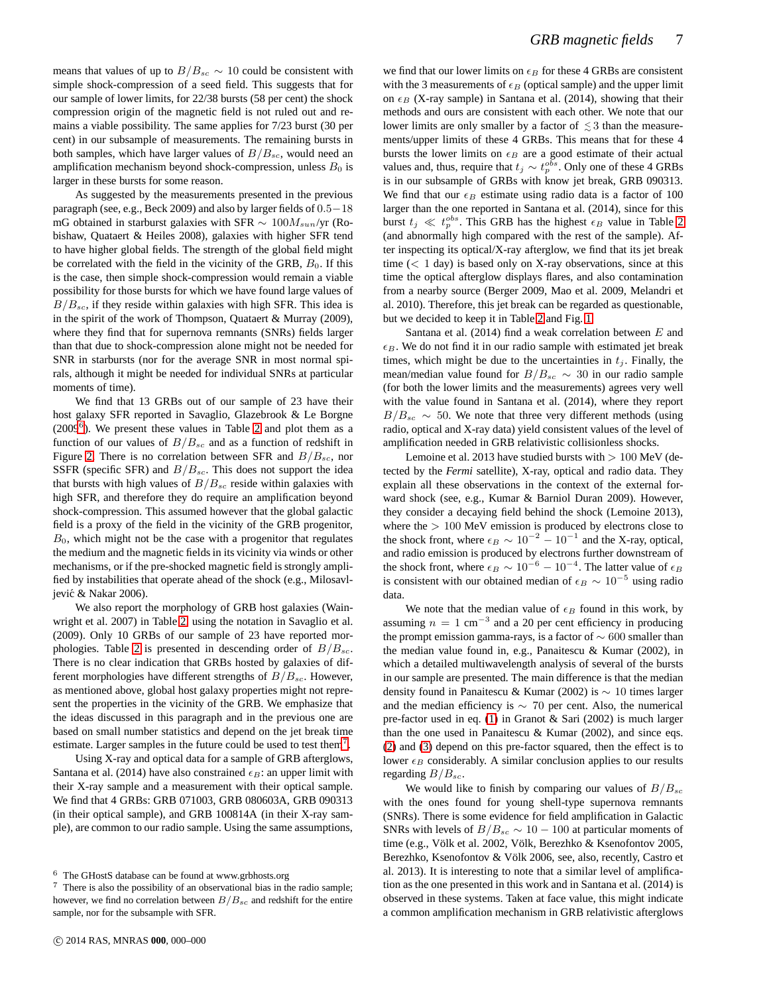means that values of up to  $B/B_{sc} \sim 10$  could be consistent with simple shock-compression of a seed field. This suggests that for our sample of lower limits, for 22/38 bursts (58 per cent) the shock compression origin of the magnetic field is not ruled out and remains a viable possibility. The same applies for 7/23 burst (30 per cent) in our subsample of measurements. The remaining bursts in both samples, which have larger values of  $B/B_{sc}$ , would need an amplification mechanism beyond shock-compression, unless  $B_0$  is larger in these bursts for some reason.

As suggested by the measurements presented in the previous paragraph (see, e.g., Beck 2009) and also by larger fields of 0.5−18 mG obtained in starburst galaxies with SFR  $\sim 100 M_{sun}/yr$  (Robishaw, Quataert & Heiles 2008), galaxies with higher SFR tend to have higher global fields. The strength of the global field might be correlated with the field in the vicinity of the GRB,  $B_0$ . If this is the case, then simple shock-compression would remain a viable possibility for those bursts for which we have found large values of  $B/B_{sc}$ , if they reside within galaxies with high SFR. This idea is in the spirit of the work of Thompson, Quataert & Murray (2009), where they find that for supernova remnants (SNRs) fields larger than that due to shock-compression alone might not be needed for SNR in starbursts (nor for the average SNR in most normal spirals, although it might be needed for individual SNRs at particular moments of time).

We find that 13 GRBs out of our sample of 23 have their host galaxy SFR reported in Savaglio, Glazebrook & Le Borgne  $(2009<sup>6</sup>)$  $(2009<sup>6</sup>)$  $(2009<sup>6</sup>)$ . We present these values in Table [2](#page-4-1) and plot them as a function of our values of  $B/B_{sc}$  and as a function of redshift in Figure [2.](#page-7-0) There is no correlation between SFR and  $B/B_{sc}$ , nor SSFR (specific SFR) and  $B/B_{sc}$ . This does not support the idea that bursts with high values of  $B/B_{sc}$  reside within galaxies with high SFR, and therefore they do require an amplification beyond shock-compression. This assumed however that the global galactic field is a proxy of the field in the vicinity of the GRB progenitor,  $B<sub>0</sub>$ , which might not be the case with a progenitor that regulates the medium and the magnetic fields in its vicinity via winds or other mechanisms, or if the pre-shocked magnetic field is strongly amplified by instabilities that operate ahead of the shock (e.g., Milosavljević & Nakar 2006).

We also report the morphology of GRB host galaxies (Wainwright et al. 2007) in Table [2,](#page-4-1) using the notation in Savaglio et al. (2009). Only 10 GRBs of our sample of 23 have reported mor-phologies. Table [2](#page-4-1) is presented in descending order of  $B/B_{sc}$ . There is no clear indication that GRBs hosted by galaxies of different morphologies have different strengths of  $B/B_{sc}$ . However, as mentioned above, global host galaxy properties might not represent the properties in the vicinity of the GRB. We emphasize that the ideas discussed in this paragraph and in the previous one are based on small number statistics and depend on the jet break time estimate. Larger samples in the future could be used to test them<sup>[7](#page-6-1)</sup>.

Using X-ray and optical data for a sample of GRB afterglows, Santana et al. (2014) have also constrained  $\epsilon_B$ : an upper limit with their X-ray sample and a measurement with their optical sample. We find that 4 GRBs: GRB 071003, GRB 080603A, GRB 090313 (in their optical sample), and GRB 100814A (in their X-ray sample), are common to our radio sample. Using the same assumptions,

we find that our lower limits on  $\epsilon_B$  for these 4 GRBs are consistent with the 3 measurements of  $\epsilon_B$  (optical sample) and the upper limit on  $\epsilon_B$  (X-ray sample) in Santana et al. (2014), showing that their methods and ours are consistent with each other. We note that our lower limits are only smaller by a factor of  $\leq 3$  than the measurements/upper limits of these 4 GRBs. This means that for these 4 bursts the lower limits on  $\epsilon_B$  are a good estimate of their actual values and, thus, require that  $t_j \sim t_p^{obs}$ . Only one of these 4 GRBs is in our subsample of GRBs with know jet break, GRB 090313. We find that our  $\epsilon_B$  estimate using radio data is a factor of 100 larger than the one reported in Santana et al. (2014), since for this burst  $t_j \ll t_p^{obs}$ . This GRB has the highest  $\epsilon_B$  value in Table [2](#page-4-1) (and abnormally high compared with the rest of the sample). After inspecting its optical/X-ray afterglow, we find that its jet break time  $(< 1$  day) is based only on X-ray observations, since at this time the optical afterglow displays flares, and also contamination from a nearby source (Berger 2009, Mao et al. 2009, Melandri et al. 2010). Therefore, this jet break can be regarded as questionable, but we decided to keep it in Table [2](#page-4-1) and Fig. [1.](#page-5-0)

Santana et al.  $(2014)$  find a weak correlation between  $E$  and  $\epsilon_B$ . We do not find it in our radio sample with estimated jet break times, which might be due to the uncertainties in  $t_i$ . Finally, the mean/median value found for  $B/B_{sc} \sim 30$  in our radio sample (for both the lower limits and the measurements) agrees very well with the value found in Santana et al. (2014), where they report  $B/B_{sc}$  ~ 50. We note that three very different methods (using radio, optical and X-ray data) yield consistent values of the level of amplification needed in GRB relativistic collisionless shocks.

Lemoine et al. 2013 have studied bursts with  $> 100$  MeV (detected by the *Fermi* satellite), X-ray, optical and radio data. They explain all these observations in the context of the external forward shock (see, e.g., Kumar & Barniol Duran 2009). However, they consider a decaying field behind the shock (Lemoine 2013), where the  $> 100$  MeV emission is produced by electrons close to the shock front, where  $\epsilon_B \sim 10^{-2} - 10^{-1}$  and the X-ray, optical, and radio emission is produced by electrons further downstream of the shock front, where  $\epsilon_B \sim 10^{-6} - 10^{-4}$ . The latter value of  $\epsilon_B$ is consistent with our obtained median of  $\epsilon_B \sim 10^{-5}$  using radio data.

We note that the median value of  $\epsilon_B$  found in this work, by assuming  $n = 1$  cm<sup>-3</sup> and a 20 per cent efficiency in producing the prompt emission gamma-rays, is a factor of  $\sim 600$  smaller than the median value found in, e.g., Panaitescu & Kumar (2002), in which a detailed multiwavelength analysis of several of the bursts in our sample are presented. The main difference is that the median density found in Panaitescu & Kumar (2002) is ∼ 10 times larger and the median efficiency is  $\sim$  70 per cent. Also, the numerical pre-factor used in eq. [\(1\)](#page-1-2) in Granot & Sari (2002) is much larger than the one used in Panaitescu & Kumar (2002), and since eqs. [\(2\)](#page-1-4) and [\(3\)](#page-2-2) depend on this pre-factor squared, then the effect is to lower  $\epsilon_B$  considerably. A similar conclusion applies to our results regarding  $B/B_{sc}$ .

We would like to finish by comparing our values of  $B/B_{sc}$ with the ones found for young shell-type supernova remnants (SNRs). There is some evidence for field amplification in Galactic SNRs with levels of  $B/B_{sc} \sim 10 - 100$  at particular moments of time (e.g., Völk et al. 2002, Völk, Berezhko & Ksenofontov 2005, Berezhko, Ksenofontov & Völk 2006, see, also, recently, Castro et al. 2013). It is interesting to note that a similar level of amplification as the one presented in this work and in Santana et al. (2014) is observed in these systems. Taken at face value, this might indicate a common amplification mechanism in GRB relativistic afterglows

<sup>6</sup> The GHostS database can be found at www.grbhosts.org

<span id="page-6-1"></span><span id="page-6-0"></span><sup>7</sup> There is also the possibility of an observational bias in the radio sample; however, we find no correlation between  $B/B_{sc}$  and redshift for the entire sample, nor for the subsample with SFR.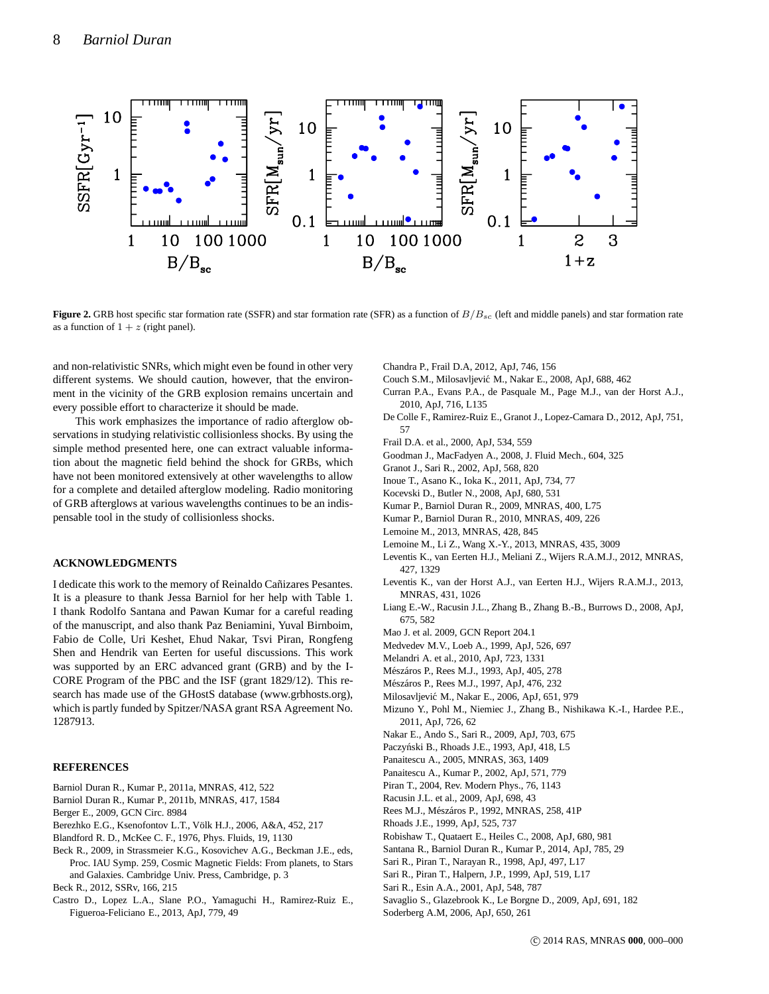

<span id="page-7-0"></span>**Figure 2.** GRB host specific star formation rate (SSFR) and star formation rate (SFR) as a function of  $B/B_{sc}$  (left and middle panels) and star formation rate as a function of  $1 + z$  (right panel).

and non-relativistic SNRs, which might even be found in other very different systems. We should caution, however, that the environment in the vicinity of the GRB explosion remains uncertain and every possible effort to characterize it should be made.

This work emphasizes the importance of radio afterglow observations in studying relativistic collisionless shocks. By using the simple method presented here, one can extract valuable information about the magnetic field behind the shock for GRBs, which have not been monitored extensively at other wavelengths to allow for a complete and detailed afterglow modeling. Radio monitoring of GRB afterglows at various wavelengths continues to be an indispensable tool in the study of collisionless shocks.

### **ACKNOWLEDGMENTS**

I dedicate this work to the memory of Reinaldo Cañizares Pesantes. It is a pleasure to thank Jessa Barniol for her help with Table 1. I thank Rodolfo Santana and Pawan Kumar for a careful reading of the manuscript, and also thank Paz Beniamini, Yuval Birnboim, Fabio de Colle, Uri Keshet, Ehud Nakar, Tsvi Piran, Rongfeng Shen and Hendrik van Eerten for useful discussions. This work was supported by an ERC advanced grant (GRB) and by the I-CORE Program of the PBC and the ISF (grant 1829/12). This research has made use of the GHostS database (www.grbhosts.org), which is partly funded by Spitzer/NASA grant RSA Agreement No. 1287913.

### **REFERENCES**

- Barniol Duran R., Kumar P., 2011a, MNRAS, 412, 522
- Barniol Duran R., Kumar P., 2011b, MNRAS, 417, 1584
- Berger E., 2009, GCN Circ. 8984
- Berezhko E.G., Ksenofontov L.T., Völk H.J., 2006, A&A, 452, 217
- Blandford R. D., McKee C. F., 1976, Phys. Fluids, 19, 1130
- Beck R., 2009, in Strassmeier K.G., Kosovichev A.G., Beckman J.E., eds, Proc. IAU Symp. 259, Cosmic Magnetic Fields: From planets, to Stars and Galaxies. Cambridge Univ. Press, Cambridge, p. 3

Beck R., 2012, SSRv, 166, 215

Castro D., Lopez L.A., Slane P.O., Yamaguchi H., Ramirez-Ruiz E., Figueroa-Feliciano E., 2013, ApJ, 779, 49

Chandra P., Frail D.A, 2012, ApJ, 746, 156

- Couch S.M., Milosavljević M., Nakar E., 2008, ApJ, 688, 462
- Curran P.A., Evans P.A., de Pasquale M., Page M.J., van der Horst A.J., 2010, ApJ, 716, L135
- De Colle F., Ramirez-Ruiz E., Granot J., Lopez-Camara D., 2012, ApJ, 751, 57
- Frail D.A. et al., 2000, ApJ, 534, 559
- Goodman J., MacFadyen A., 2008, J. Fluid Mech., 604, 325
- Granot J., Sari R., 2002, ApJ, 568, 820
- Inoue T., Asano K., Ioka K., 2011, ApJ, 734, 77
- Kocevski D., Butler N., 2008, ApJ, 680, 531
- Kumar P., Barniol Duran R., 2009, MNRAS, 400, L75
- Kumar P., Barniol Duran R., 2010, MNRAS, 409, 226
- Lemoine M., 2013, MNRAS, 428, 845
- Lemoine M., Li Z., Wang X.-Y., 2013, MNRAS, 435, 3009
- Leventis K., van Eerten H.J., Meliani Z., Wijers R.A.M.J., 2012, MNRAS, 427, 1329
- Leventis K., van der Horst A.J., van Eerten H.J., Wijers R.A.M.J., 2013, MNRAS, 431, 1026
- Liang E.-W., Racusin J.L., Zhang B., Zhang B.-B., Burrows D., 2008, ApJ, 675, 582
- Mao J. et al. 2009, GCN Report 204.1
- Medvedev M.V., Loeb A., 1999, ApJ, 526, 697
- Melandri A. et al., 2010, ApJ, 723, 1331
- Mészáros P., Rees M.J., 1993, ApJ, 405, 278
- Mészáros P., Rees M.J., 1997, ApJ, 476, 232
- Milosavljević M., Nakar E., 2006, ApJ, 651, 979
- Mizuno Y., Pohl M., Niemiec J., Zhang B., Nishikawa K.-I., Hardee P.E., 2011, ApJ, 726, 62
- Nakar E., Ando S., Sari R., 2009, ApJ, 703, 675
- Paczyński B., Rhoads J.E., 1993, ApJ, 418, L5
- Panaitescu A., 2005, MNRAS, 363, 1409
- Panaitescu A., Kumar P., 2002, ApJ, 571, 779
- Piran T., 2004, Rev. Modern Phys., 76, 1143
- Racusin J.L. et al., 2009, ApJ, 698, 43
- Rees M.J., Mészáros P., 1992, MNRAS, 258, 41P
- Rhoads J.E., 1999, ApJ, 525, 737
- Robishaw T., Quataert E., Heiles C., 2008, ApJ, 680, 981
- Santana R., Barniol Duran R., Kumar P., 2014, ApJ, 785, 29
- Sari R., Piran T., Narayan R., 1998, ApJ, 497, L17
- Sari R., Piran T., Halpern, J.P., 1999, ApJ, 519, L17
- Sari R., Esin A.A., 2001, ApJ, 548, 787
- Savaglio S., Glazebrook K., Le Borgne D., 2009, ApJ, 691, 182
- Soderberg A.M, 2006, ApJ, 650, 261